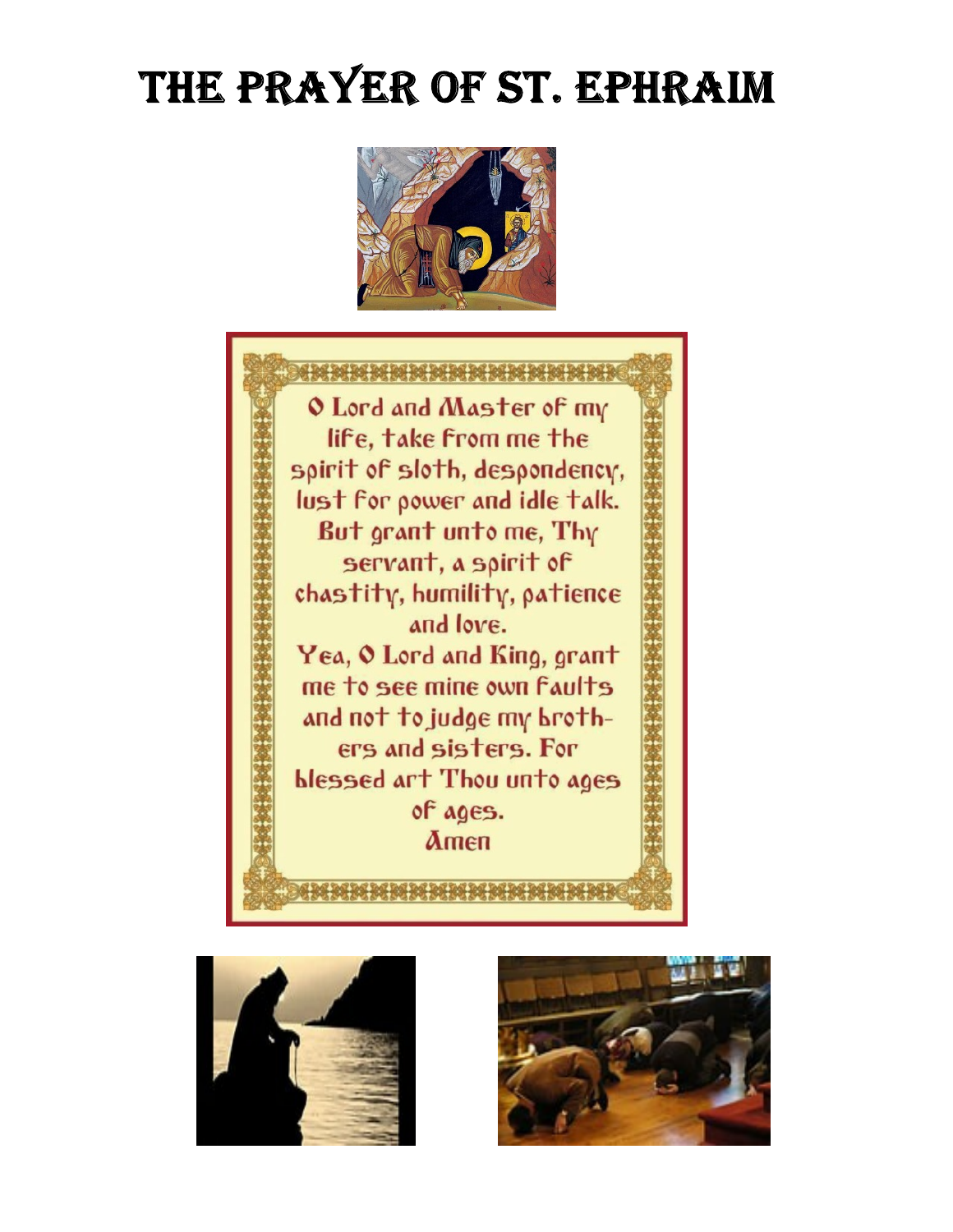# THE PRAYER OF ST. EPHRAIM







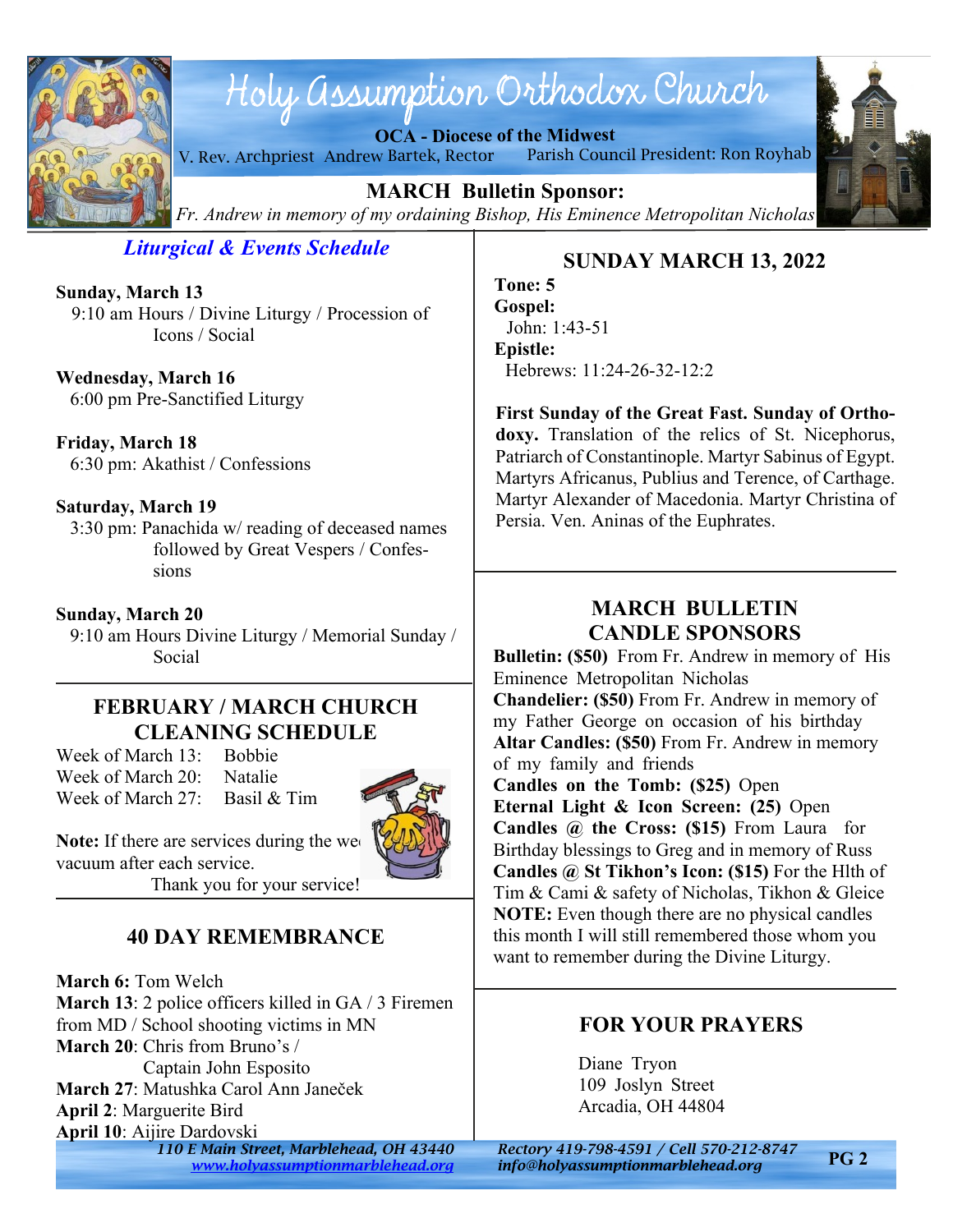

# Holy assumption Orthodox Church

**OCA - Diocese of the Midwest**

V. Rev. Archpriest Andrew Bartek, Rector Parish Council President: Ron Royhab



**MARCH Bulletin Sponsor:** *Fr. Andrew in memory of my ordaining Bishop, His Eminence Metropolitan Nicholas*

*Liturgical & Events Schedule*

**Sunday, March 13** 9:10 am Hours / Divine Liturgy / Procession of Icons / Social

**Wednesday, March 16** 6:00 pm Pre-Sanctified Liturgy

**Friday, March 18** 6:30 pm: Akathist / Confessions

#### **Saturday, March 19**

 3:30 pm: Panachida w/ reading of deceased names followed by Great Vespers / Confessions

**Sunday, March 20** 9:10 am Hours Divine Liturgy / Memorial Sunday / Social

## **FEBRUARY / MARCH CHURCH CLEANING SCHEDULE**

Week of March 13: Bobbie Week of March 20: Natalie Week of March 27: Basil & Tim



**Note:** If there are services during the week vacuum after each service.

Thank you for your service!

# **40 DAY REMEMBRANCE**

**March 6:** Tom Welch **March 13**: 2 police officers killed in GA / 3 Firemen from MD / School shooting victims in MN **March 20**: Chris from Bruno's / Captain John Esposito **March 27**: Matushka Carol Ann Janeček **April 2**: Marguerite Bird

**April 10**: Aijire Dardovski

*110 E Main Street, Marblehead, OH 43440 Rectory 419-798-4591 / Cell 570-212-8747 <www.holyassumptionmarblehead.org> info@holyassumptionmarblehead.org*

# **SUNDAY MARCH 13, 2022**

**Tone: 5 Gospel:** John: 1:43-51 **Epistle:** Hebrews: 11:24-26-32-12:2

**First Sunday of the Great Fast. Sunday of Orthodoxy.** Translation of the relics of St. Nicephorus, Patriarch of Constantinople. Martyr Sabinus of Egypt. Martyrs Africanus, Publius and Terence, of Carthage. Martyr Alexander of Macedonia. Martyr Christina of Persia. Ven. Aninas of the Euphrates.

# **MARCH BULLETIN CANDLE SPONSORS**

**Bulletin: (\$50)** From Fr. Andrew in memory of His Eminence Metropolitan Nicholas **Chandelier: (\$50)** From Fr. Andrew in memory of my Father George on occasion of his birthday **Altar Candles: (\$50)** From Fr. Andrew in memory of my family and friends **Candles on the Tomb: (\$25)** Open **Eternal Light & Icon Screen: (25)** Open **Candles @ the Cross: (\$15)** From Laura for Birthday blessings to Greg and in memory of Russ **Candles @ St Tikhon's Icon: (\$15)** For the Hlth of Tim & Cami & safety of Nicholas, Tikhon & Gleice **NOTE:** Even though there are no physical candles this month I will still remembered those whom you want to remember during the Divine Liturgy.

# **FOR YOUR PRAYERS**

Diane Tryon 109 Joslyn Street Arcadia, OH 44804

**PG 2**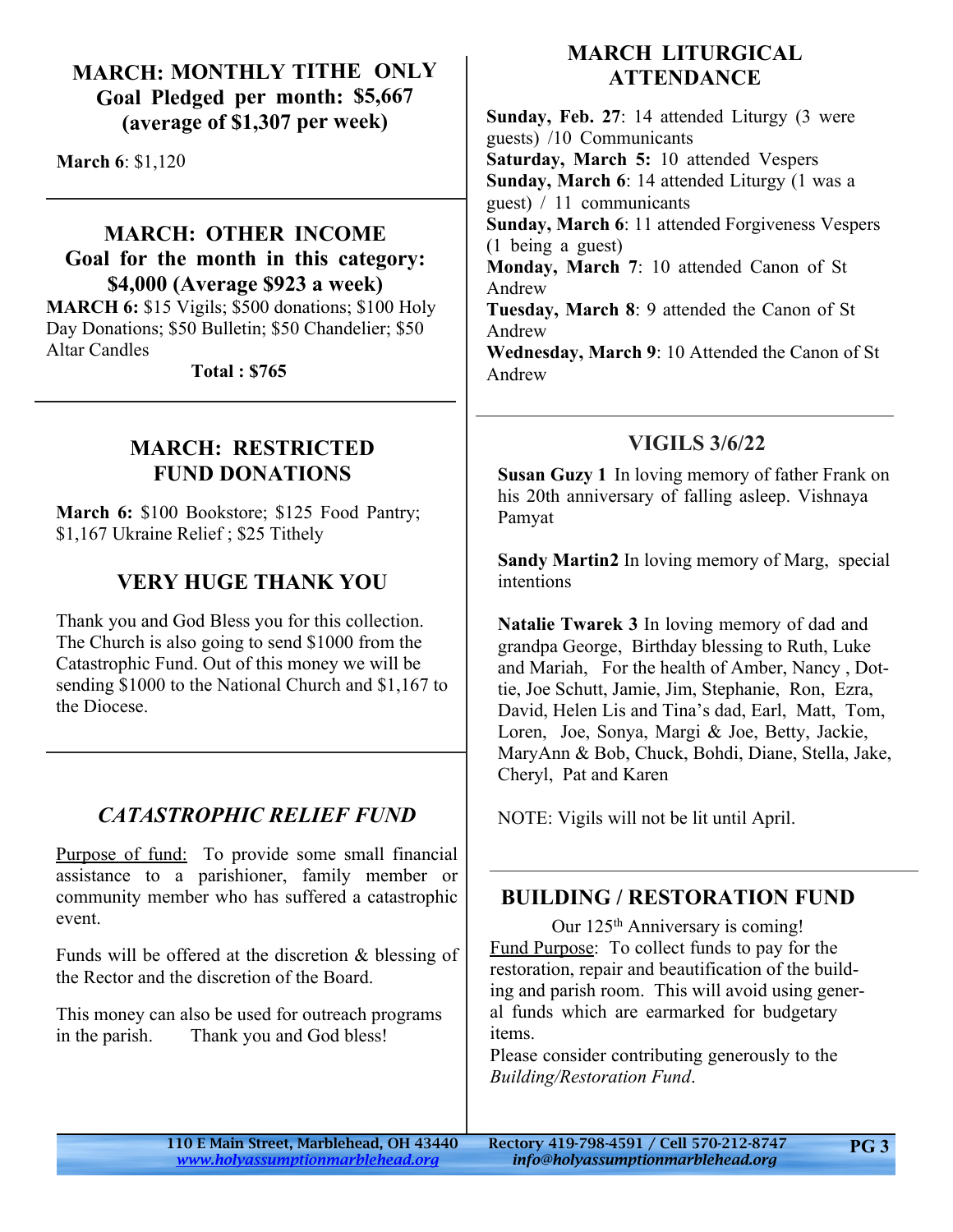## **MARCH: MONTHLY TITHE ONLY Goal Pledged per month: \$5,667 (average of \$1,307 per week)**

**March 6**: \$1,120

## **MARCH: OTHER INCOME Goal for the month in this category: \$4,000 (Average \$923 a week)**

**MARCH 6:** \$15 Vigils; \$500 donations; \$100 Holy Day Donations; \$50 Bulletin; \$50 Chandelier; \$50 Altar Candles

 **Total : \$765**

## **MARCH: RESTRICTED FUND DONATIONS**

**March 6:** \$100 Bookstore; \$125 Food Pantry; \$1,167 Ukraine Relief ; \$25 Tithely

## **VERY HUGE THANK YOU**

Thank you and God Bless you for this collection. The Church is also going to send \$1000 from the Catastrophic Fund. Out of this money we will be sending \$1000 to the National Church and \$1,167 to the Diocese.

# *CATASTROPHIC RELIEF FUND*

Purpose of fund: To provide some small financial assistance to a parishioner, family member or community member who has suffered a catastrophic event.

Funds will be offered at the discretion & blessing of the Rector and the discretion of the Board.

This money can also be used for outreach programs in the parish. Thank you and God bless!

## **MARCH LITURGICAL ATTENDANCE**

**Sunday, Feb. 27**: 14 attended Liturgy (3 were guests) /10 Communicants **Saturday, March 5:** 10 attended Vespers **Sunday, March 6**: 14 attended Liturgy (1 was a guest) / 11 communicants **Sunday, March 6**: 11 attended Forgiveness Vespers (1 being a guest) **Monday, March 7**: 10 attended Canon of St Andrew **Tuesday, March 8**: 9 attended the Canon of St Andrew **Wednesday, March 9**: 10 Attended the Canon of St Andrew

# **VIGILS 3/6/22**

**Susan Guzy 1** In loving memory of father Frank on his 20th anniversary of falling asleep. Vishnaya Pamyat

**Sandy Martin2** In loving memory of Marg, special intentions

**Natalie Twarek 3** In loving memory of dad and grandpa George, Birthday blessing to Ruth, Luke and Mariah, For the health of Amber, Nancy , Dottie, Joe Schutt, Jamie, Jim, Stephanie, Ron, Ezra, David, Helen Lis and Tina's dad, Earl, Matt, Tom, Loren, Joe, Sonya, Margi & Joe, Betty, Jackie, MaryAnn & Bob, Chuck, Bohdi, Diane, Stella, Jake, Cheryl, Pat and Karen

NOTE: Vigils will not be lit until April.

## **BUILDING / RESTORATION FUND**

Our 125<sup>th</sup> Anniversary is coming! Fund Purpose: To collect funds to pay for the restoration, repair and beautification of the building and parish room. This will avoid using general funds which are earmarked for budgetary items.

Please consider contributing generously to the *Building/Restoration Fund*.

*<www.holyassumptionmarblehead.org> info@holyassumptionmarblehead.org*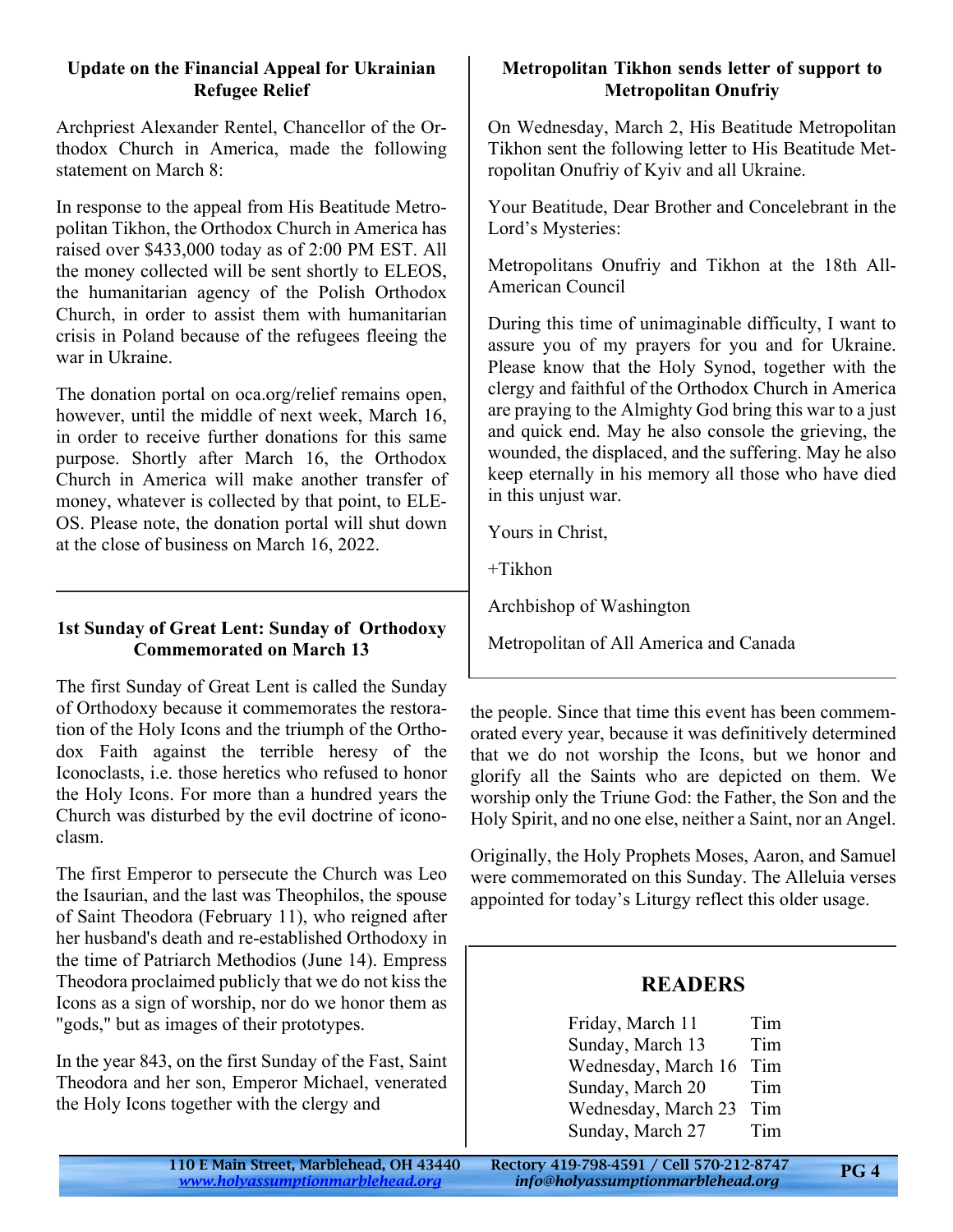#### **Update on the Financial Appeal for Ukrainian Refugee Relief**

Archpriest Alexander Rentel, Chancellor of the Orthodox Church in America, made the following statement on March 8:

In response to the appeal from His Beatitude Metropolitan Tikhon, the Orthodox Church in America has raised over \$433,000 today as of 2:00 PM EST. All the money collected will be sent shortly to ELEOS, the humanitarian agency of the Polish Orthodox Church, in order to assist them with humanitarian crisis in Poland because of the refugees fleeing the war in Ukraine.

The donation portal on oca.org/relief remains open, however, until the middle of next week, March 16, in order to receive further donations for this same purpose. Shortly after March 16, the Orthodox Church in America will make another transfer of money, whatever is collected by that point, to ELE-OS. Please note, the donation portal will shut down at the close of business on March 16, 2022.

#### **1st Sunday of Great Lent: Sunday of Orthodoxy Commemorated on March 13**

The first Sunday of Great Lent is called the Sunday of Orthodoxy because it commemorates the restoration of the Holy Icons and the triumph of the Orthodox Faith against the terrible heresy of the Iconoclasts, i.e. those heretics who refused to honor the Holy Icons. For more than a hundred years the Church was disturbed by the evil doctrine of iconoclasm.

The first Emperor to persecute the Church was Leo the Isaurian, and the last was Theophilos, the spouse of Saint Theodora (February 11), who reigned after her husband's death and re-established Orthodoxy in the time of Patriarch Methodios (June 14). Empress Theodora proclaimed publicly that we do not kiss the Icons as a sign of worship, nor do we honor them as "gods," but as images of their prototypes.

In the year 843, on the first Sunday of the Fast, Saint Theodora and her son, Emperor Michael, venerated the Holy Icons together with the clergy and

#### **Metropolitan Tikhon sends letter of support to Metropolitan Onufriy**

On Wednesday, March 2, His Beatitude Metropolitan Tikhon sent the following letter to His Beatitude Metropolitan Onufriy of Kyiv and all Ukraine.

Your Beatitude, Dear Brother and Concelebrant in the Lord's Mysteries:

Metropolitans Onufriy and Tikhon at the 18th All-American Council

During this time of unimaginable difficulty, I want to assure you of my prayers for you and for Ukraine. Please know that the Holy Synod, together with the clergy and faithful of the Orthodox Church in America are praying to the Almighty God bring this war to a just and quick end. May he also console the grieving, the wounded, the displaced, and the suffering. May he also keep eternally in his memory all those who have died in this unjust war.

Yours in Christ,

+Tikhon

Archbishop of Washington

Metropolitan of All America and Canada

the people. Since that time this event has been commemorated every year, because it was definitively determined that we do not worship the Icons, but we honor and glorify all the Saints who are depicted on them. We worship only the Triune God: the Father, the Son and the Holy Spirit, and no one else, neither a Saint, nor an Angel.

Originally, the Holy Prophets Moses, Aaron, and Samuel were commemorated on this Sunday. The Alleluia verses appointed for today's Liturgy reflect this older usage.

#### **READERS**

Friday, March 11 Tim Sunday, March 13 Tim Wednesday, March 16 Tim Sunday, March 20 Tim Wednesday, March 23 Tim Sunday, March 27 Tim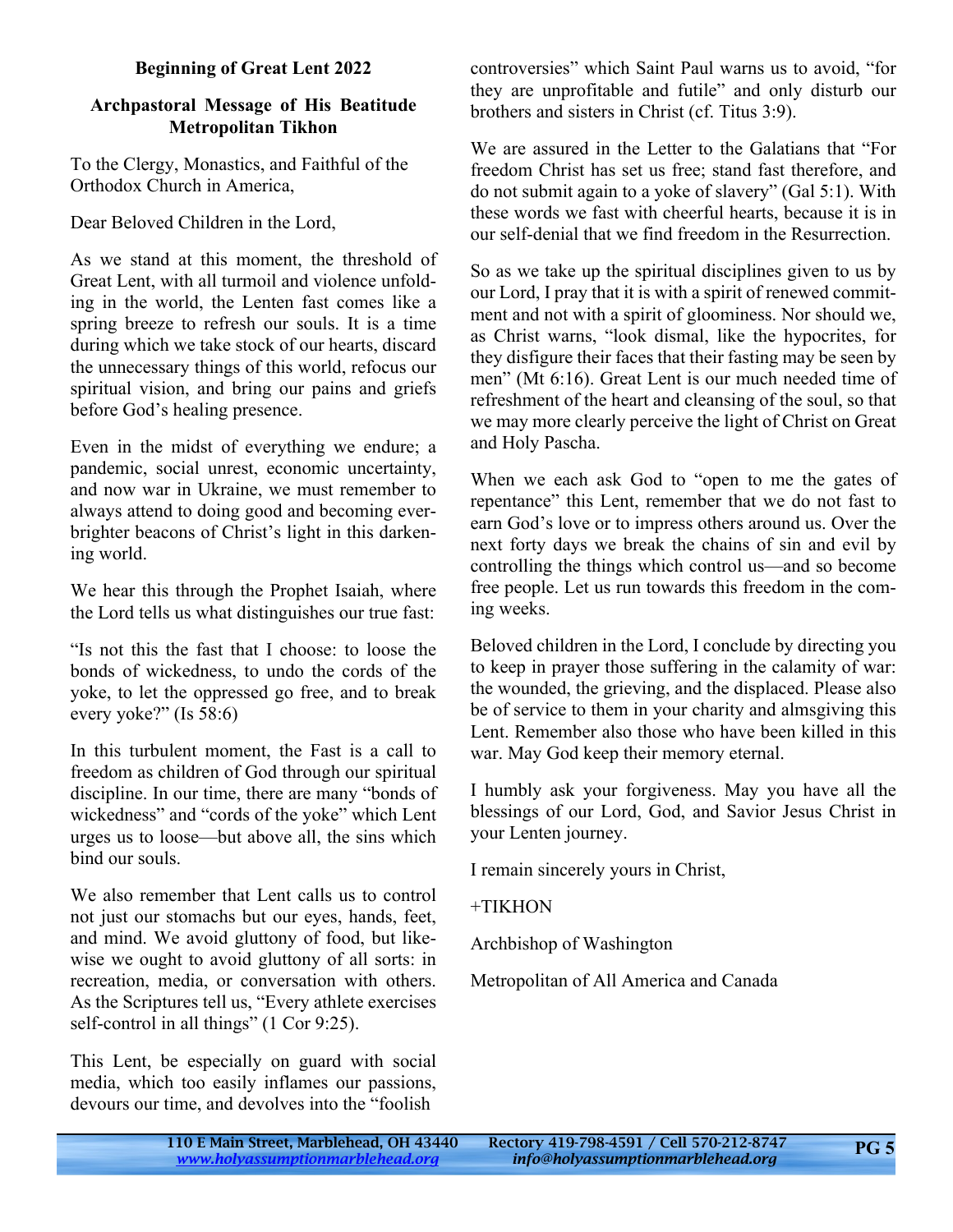#### **Beginning of Great Lent 2022**

#### **Archpastoral Message of His Beatitude Metropolitan Tikhon**

To the Clergy, Monastics, and Faithful of the Orthodox Church in America,

Dear Beloved Children in the Lord,

As we stand at this moment, the threshold of Great Lent, with all turmoil and violence unfolding in the world, the Lenten fast comes like a spring breeze to refresh our souls. It is a time during which we take stock of our hearts, discard the unnecessary things of this world, refocus our spiritual vision, and bring our pains and griefs before God's healing presence.

Even in the midst of everything we endure; a pandemic, social unrest, economic uncertainty, and now war in Ukraine, we must remember to always attend to doing good and becoming everbrighter beacons of Christ's light in this darkening world.

We hear this through the Prophet Isaiah, where the Lord tells us what distinguishes our true fast:

"Is not this the fast that I choose: to loose the bonds of wickedness, to undo the cords of the yoke, to let the oppressed go free, and to break every yoke?" (Is 58:6)

In this turbulent moment, the Fast is a call to freedom as children of God through our spiritual discipline. In our time, there are many "bonds of wickedness" and "cords of the yoke" which Lent urges us to loose—but above all, the sins which bind our souls.

We also remember that Lent calls us to control not just our stomachs but our eyes, hands, feet, and mind. We avoid gluttony of food, but likewise we ought to avoid gluttony of all sorts: in recreation, media, or conversation with others. As the Scriptures tell us, "Every athlete exercises self-control in all things" (1 Cor 9:25).

This Lent, be especially on guard with social media, which too easily inflames our passions, devours our time, and devolves into the "foolish

controversies" which Saint Paul warns us to avoid, "for they are unprofitable and futile" and only disturb our brothers and sisters in Christ (cf. Titus 3:9).

We are assured in the Letter to the Galatians that "For freedom Christ has set us free; stand fast therefore, and do not submit again to a yoke of slavery" (Gal 5:1). With these words we fast with cheerful hearts, because it is in our self-denial that we find freedom in the Resurrection.

So as we take up the spiritual disciplines given to us by our Lord, I pray that it is with a spirit of renewed commitment and not with a spirit of gloominess. Nor should we, as Christ warns, "look dismal, like the hypocrites, for they disfigure their faces that their fasting may be seen by men" (Mt 6:16). Great Lent is our much needed time of refreshment of the heart and cleansing of the soul, so that we may more clearly perceive the light of Christ on Great and Holy Pascha.

When we each ask God to "open to me the gates of repentance" this Lent, remember that we do not fast to earn God's love or to impress others around us. Over the next forty days we break the chains of sin and evil by controlling the things which control us—and so become free people. Let us run towards this freedom in the coming weeks.

Beloved children in the Lord, I conclude by directing you to keep in prayer those suffering in the calamity of war: the wounded, the grieving, and the displaced. Please also be of service to them in your charity and almsgiving this Lent. Remember also those who have been killed in this war. May God keep their memory eternal.

I humbly ask your forgiveness. May you have all the blessings of our Lord, God, and Savior Jesus Christ in your Lenten journey.

I remain sincerely yours in Christ,

+TIKHON

Archbishop of Washington

Metropolitan of All America and Canada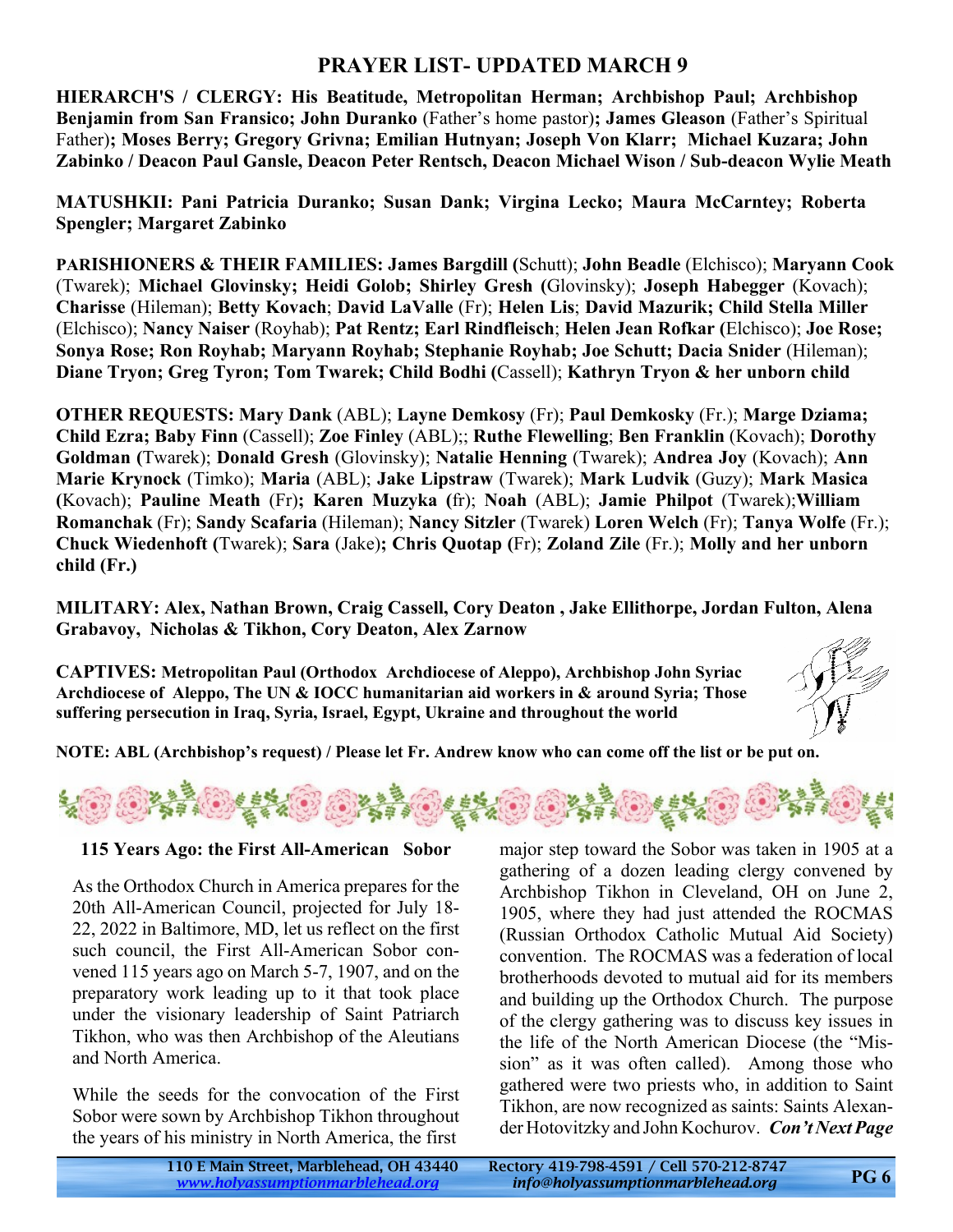## **PRAYER LIST- UPDATED MARCH 9**

**HIERARCH'S / CLERGY: His Beatitude, Metropolitan Herman; Archbishop Paul; Archbishop Benjamin from San Fransico; John Duranko** (Father's home pastor)**; James Gleason** (Father's Spiritual Father)**; Moses Berry; Gregory Grivna; Emilian Hutnyan; Joseph Von Klarr; Michael Kuzara; John Zabinko / Deacon Paul Gansle, Deacon Peter Rentsch, Deacon Michael Wison / Sub-deacon Wylie Meath**

**MATUSHKII: Pani Patricia Duranko; Susan Dank; Virgina Lecko; Maura McCarntey; Roberta Spengler; Margaret Zabinko**

**PARISHIONERS & THEIR FAMILIES: James Bargdill (**Schutt); **John Beadle** (Elchisco); **Maryann Cook** (Twarek); **Michael Glovinsky; Heidi Golob; Shirley Gresh (**Glovinsky); **Joseph Habegger** (Kovach); **Charisse** (Hileman); **Betty Kovach**; **David LaValle** (Fr); **Helen Lis**; **David Mazurik; Child Stella Miller** (Elchisco); **Nancy Naiser** (Royhab); **Pat Rentz; Earl Rindfleisch**; **Helen Jean Rofkar (**Elchisco); **Joe Rose; Sonya Rose; Ron Royhab; Maryann Royhab; Stephanie Royhab; Joe Schutt; Dacia Snider** (Hileman); **Diane Tryon; Greg Tyron; Tom Twarek; Child Bodhi (**Cassell); **Kathryn Tryon & her unborn child**

**OTHER REQUESTS: Mary Dank** (ABL); **Layne Demkosy** (Fr); **Paul Demkosky** (Fr.); **Marge Dziama; Child Ezra; Baby Finn** (Cassell); **Zoe Finley** (ABL);; **Ruthe Flewelling**; **Ben Franklin** (Kovach); **Dorothy Goldman (**Twarek); **Donald Gresh** (Glovinsky); **Natalie Henning** (Twarek); **Andrea Joy** (Kovach); **Ann Marie Krynock** (Timko); **Maria** (ABL); **Jake Lipstraw** (Twarek); **Mark Ludvik** (Guzy); **Mark Masica (**Kovach); **Pauline Meath** (Fr)**; Karen Muzyka (**fr); **Noah** (ABL); **Jamie Philpot** (Twarek);**William Romanchak** (Fr); **Sandy Scafaria** (Hileman); **Nancy Sitzler** (Twarek) **Loren Welch** (Fr); **Tanya Wolfe** (Fr.); **Chuck Wiedenhoft (**Twarek); **Sara** (Jake)**; Chris Quotap (**Fr); **Zoland Zile** (Fr.); **Molly and her unborn child (Fr.)**

**MILITARY: Alex, Nathan Brown, Craig Cassell, Cory Deaton , Jake Ellithorpe, Jordan Fulton, Alena Grabavoy, Nicholas & Tikhon, Cory Deaton, Alex Zarnow**

**CAPTIVES: Metropolitan Paul (Orthodox Archdiocese of Aleppo), Archbishop John Syriac Archdiocese of Aleppo, The UN & IOCC humanitarian aid workers in & around Syria; Those suffering persecution in Iraq, Syria, Israel, Egypt, Ukraine and throughout the world**



**NOTE: ABL (Archbishop's request) / Please let Fr. Andrew know who can come off the list or be put on.**



#### **115 Years Ago: the First All-American Sobor**

As the Orthodox Church in America prepares for the 20th All-American Council, projected for July 18- 22, 2022 in Baltimore, MD, let us reflect on the first such council, the First All-American Sobor convened 115 years ago on March 5-7, 1907, and on the preparatory work leading up to it that took place under the visionary leadership of Saint Patriarch Tikhon, who was then Archbishop of the Aleutians and North America.

While the seeds for the convocation of the First Sobor were sown by Archbishop Tikhon throughout the years of his ministry in North America, the first

major step toward the Sobor was taken in 1905 at a gathering of a dozen leading clergy convened by Archbishop Tikhon in Cleveland, OH on June 2, 1905, where they had just attended the ROCMAS (Russian Orthodox Catholic Mutual Aid Society) convention. The ROCMAS was a federation of local brotherhoods devoted to mutual aid for its members and building up the Orthodox Church. The purpose of the clergy gathering was to discuss key issues in the life of the North American Diocese (the "Mission" as it was often called). Among those who gathered were two priests who, in addition to Saint Tikhon, are now recognized as saints: Saints Alexander Hotovitzky and John Kochurov. *Con't Next Page*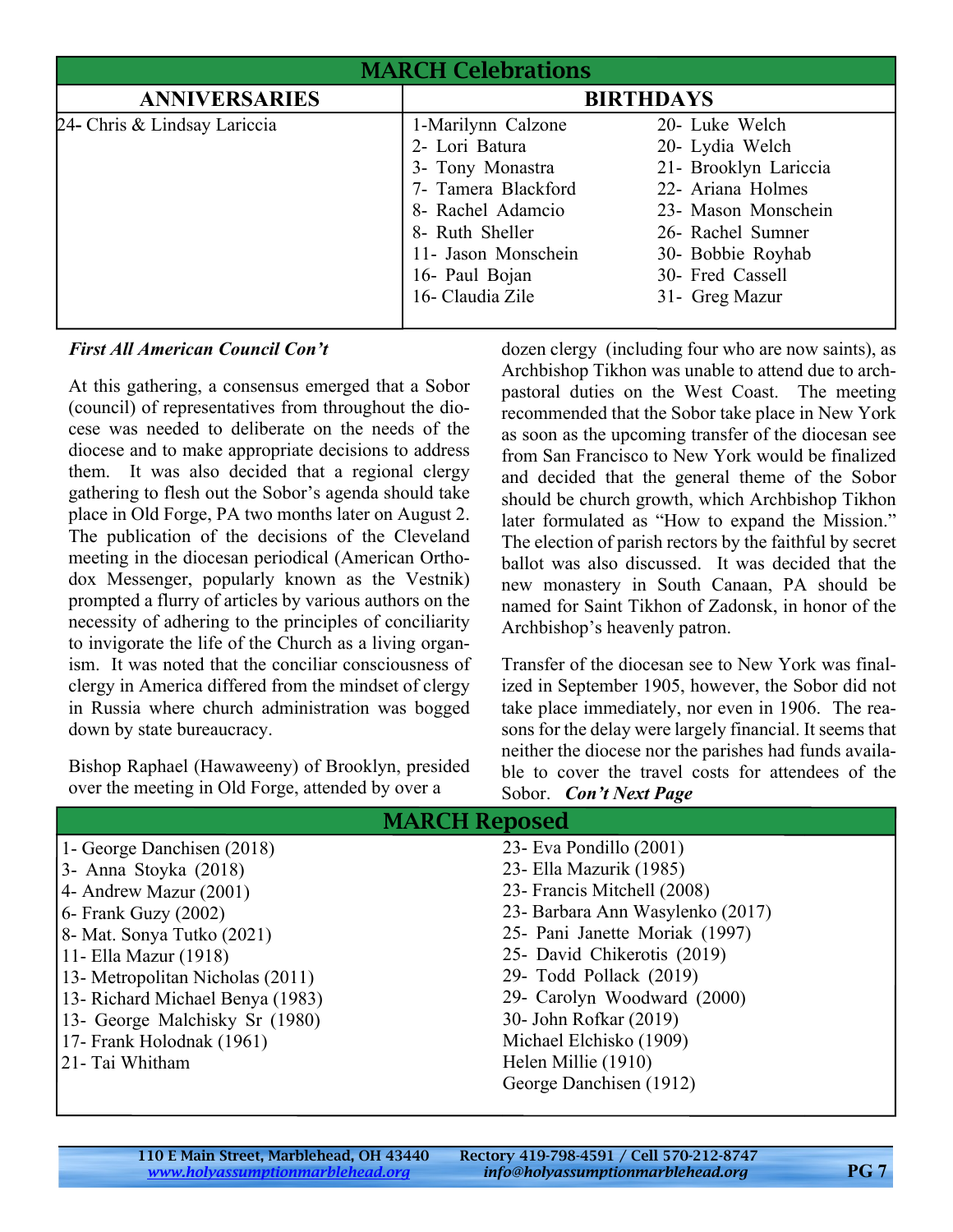| <b>MARCH Celebrations</b>    |                                                                                                                                                                                      |                                                                                                                                                                                        |  |  |
|------------------------------|--------------------------------------------------------------------------------------------------------------------------------------------------------------------------------------|----------------------------------------------------------------------------------------------------------------------------------------------------------------------------------------|--|--|
| <b>ANNIVERSARIES</b>         | <b>BIRTHDAYS</b>                                                                                                                                                                     |                                                                                                                                                                                        |  |  |
| 24- Chris & Lindsay Lariccia | 1-Marilynn Calzone<br>2- Lori Batura<br>3- Tony Monastra<br>7- Tamera Blackford<br>8- Rachel Adamcio<br>8- Ruth Sheller<br>11- Jason Monschein<br>16- Paul Bojan<br>16- Claudia Zile | 20- Luke Welch<br>20- Lydia Welch<br>21- Brooklyn Lariccia<br>22- Ariana Holmes<br>23- Mason Monschein<br>26- Rachel Sumner<br>30- Bobbie Royhab<br>30- Fred Cassell<br>31- Greg Mazur |  |  |

#### *First All American Council Con't*

At this gathering, a consensus emerged that a Sobor (council) of representatives from throughout the diocese was needed to deliberate on the needs of the diocese and to make appropriate decisions to address them. It was also decided that a regional clergy gathering to flesh out the Sobor's agenda should take place in Old Forge, PA two months later on August 2. The publication of the decisions of the Cleveland meeting in the diocesan periodical (American Orthodox Messenger, popularly known as the Vestnik) prompted a flurry of articles by various authors on the necessity of adhering to the principles of conciliarity to invigorate the life of the Church as a living organism. It was noted that the conciliar consciousness of clergy in America differed from the mindset of clergy in Russia where church administration was bogged down by state bureaucracy.

Bishop Raphael (Hawaweeny) of Brooklyn, presided over the meeting in Old Forge, attended by over a

dozen clergy (including four who are now saints), as Archbishop Tikhon was unable to attend due to archpastoral duties on the West Coast. The meeting recommended that the Sobor take place in New York as soon as the upcoming transfer of the diocesan see from San Francisco to New York would be finalized and decided that the general theme of the Sobor should be church growth, which Archbishop Tikhon later formulated as "How to expand the Mission." The election of parish rectors by the faithful by secret ballot was also discussed. It was decided that the new monastery in South Canaan, PA should be named for Saint Tikhon of Zadonsk, in honor of the Archbishop's heavenly patron.

Transfer of the diocesan see to New York was finalized in September 1905, however, the Sobor did not take place immediately, nor even in 1906. The reasons for the delay were largely financial. It seems that neither the diocese nor the parishes had funds available to cover the travel costs for attendees of the Sobor. *Con't Next Page*

| <b>MARCH Reposed</b>             |                                  |  |
|----------------------------------|----------------------------------|--|
| 1- George Danchisen (2018)       | 23- Eva Pondillo $(2001)$        |  |
| 3- Anna Stoyka (2018)            | 23 - Ella Mazurik (1985)         |  |
| 4- Andrew Mazur (2001)           | 23- Francis Mitchell (2008)      |  |
| $6$ - Frank Guzy (2002)          | 23- Barbara Ann Wasylenko (2017) |  |
| 8 - Mat. Sonya Tutko (2021)      | 25- Pani Janette Moriak (1997)   |  |
| 11 - Ella Mazur (1918)           | 25- David Chikerotis (2019)      |  |
| 13- Metropolitan Nicholas (2011) | 29- Todd Pollack (2019)          |  |
| 13- Richard Michael Benya (1983) | 29- Carolyn Woodward (2000)      |  |
| 13- George Malchisky Sr (1980)   | 30- John Rofkar (2019)           |  |
| 17- Frank Holodnak (1961)        | Michael Elchisko (1909)          |  |
| 21 - Tai Whitham                 | Helen Millie (1910)              |  |
|                                  | George Danchisen (1912)          |  |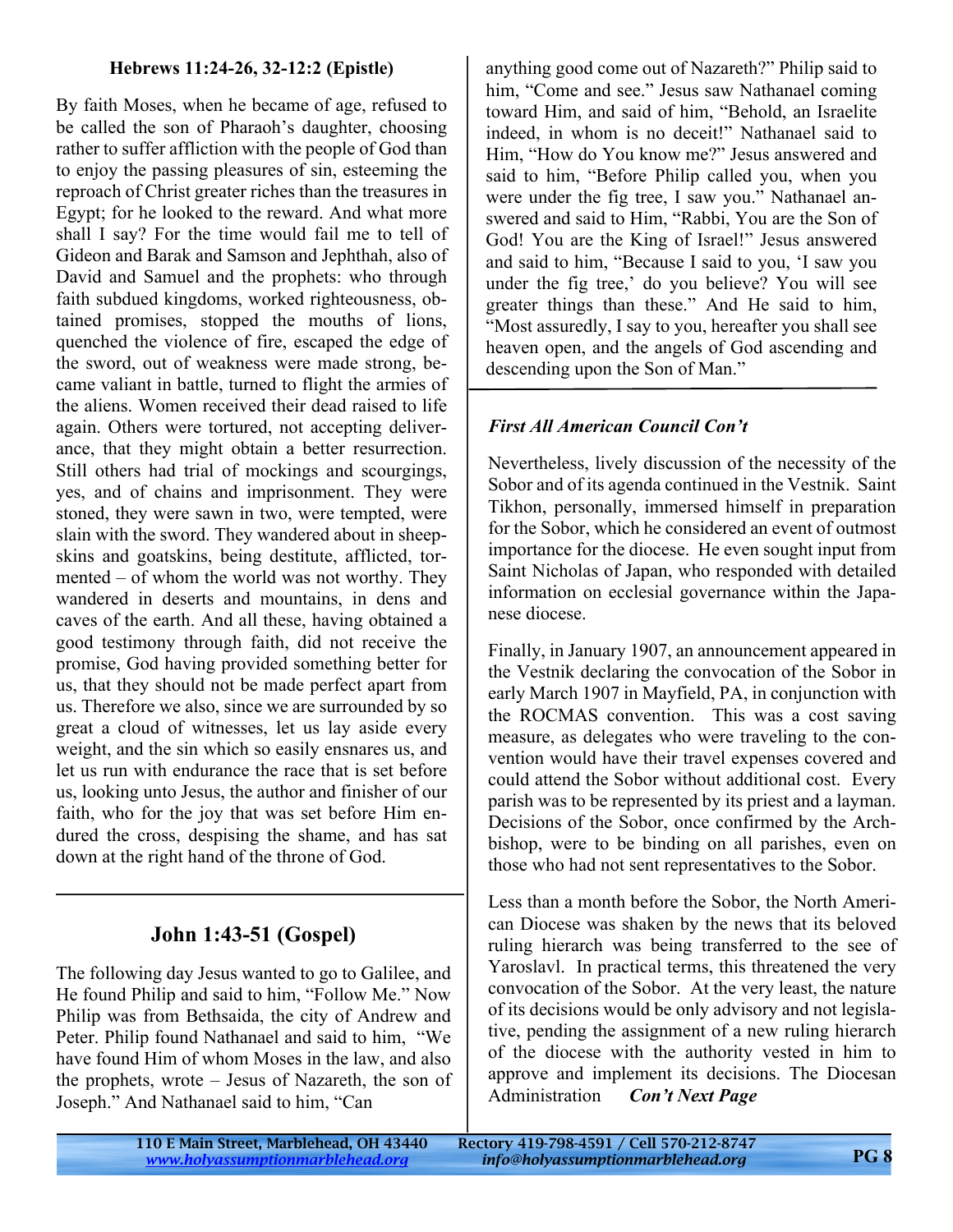#### **Hebrews 11:24-26, 32-12:2 (Epistle)**

By faith Moses, when he became of age, refused to be called the son of Pharaoh's daughter, choosing rather to suffer affliction with the people of God than to enjoy the passing pleasures of sin, esteeming the reproach of Christ greater riches than the treasures in Egypt; for he looked to the reward. And what more shall I say? For the time would fail me to tell of Gideon and Barak and Samson and Jephthah, also of David and Samuel and the prophets: who through faith subdued kingdoms, worked righteousness, obtained promises, stopped the mouths of lions, quenched the violence of fire, escaped the edge of the sword, out of weakness were made strong, became valiant in battle, turned to flight the armies of the aliens. Women received their dead raised to life again. Others were tortured, not accepting deliverance, that they might obtain a better resurrection. Still others had trial of mockings and scourgings, yes, and of chains and imprisonment. They were stoned, they were sawn in two, were tempted, were slain with the sword. They wandered about in sheepskins and goatskins, being destitute, afflicted, tormented – of whom the world was not worthy. They wandered in deserts and mountains, in dens and caves of the earth. And all these, having obtained a good testimony through faith, did not receive the promise, God having provided something better for us, that they should not be made perfect apart from us. Therefore we also, since we are surrounded by so great a cloud of witnesses, let us lay aside every weight, and the sin which so easily ensnares us, and let us run with endurance the race that is set before us, looking unto Jesus, the author and finisher of our faith, who for the joy that was set before Him endured the cross, despising the shame, and has sat down at the right hand of the throne of God.

# **John 1:43-51 (Gospel)**

The following day Jesus wanted to go to Galilee, and He found Philip and said to him, "Follow Me." Now Philip was from Bethsaida, the city of Andrew and Peter. Philip found Nathanael and said to him, "We have found Him of whom Moses in the law, and also the prophets, wrote – Jesus of Nazareth, the son of Joseph." And Nathanael said to him, "Can

anything good come out of Nazareth?" Philip said to him, "Come and see." Jesus saw Nathanael coming toward Him, and said of him, "Behold, an Israelite indeed, in whom is no deceit!" Nathanael said to Him, "How do You know me?" Jesus answered and said to him, "Before Philip called you, when you were under the fig tree, I saw you." Nathanael answered and said to Him, "Rabbi, You are the Son of God! You are the King of Israel!" Jesus answered and said to him, "Because I said to you, 'I saw you under the fig tree,' do you believe? You will see greater things than these." And He said to him, "Most assuredly, I say to you, hereafter you shall see heaven open, and the angels of God ascending and descending upon the Son of Man."

### *First All American Council Con't*

Nevertheless, lively discussion of the necessity of the Sobor and of its agenda continued in the Vestnik. Saint Tikhon, personally, immersed himself in preparation for the Sobor, which he considered an event of outmost importance for the diocese. He even sought input from Saint Nicholas of Japan, who responded with detailed information on ecclesial governance within the Japanese diocese.

Finally, in January 1907, an announcement appeared in the Vestnik declaring the convocation of the Sobor in early March 1907 in Mayfield, PA, in conjunction with the ROCMAS convention. This was a cost saving measure, as delegates who were traveling to the convention would have their travel expenses covered and could attend the Sobor without additional cost. Every parish was to be represented by its priest and a layman. Decisions of the Sobor, once confirmed by the Archbishop, were to be binding on all parishes, even on those who had not sent representatives to the Sobor.

Less than a month before the Sobor, the North American Diocese was shaken by the news that its beloved ruling hierarch was being transferred to the see of Yaroslavl. In practical terms, this threatened the very convocation of the Sobor. At the very least, the nature of its decisions would be only advisory and not legislative, pending the assignment of a new ruling hierarch of the diocese with the authority vested in him to approve and implement its decisions. The Diocesan Administration *Con't Next Page*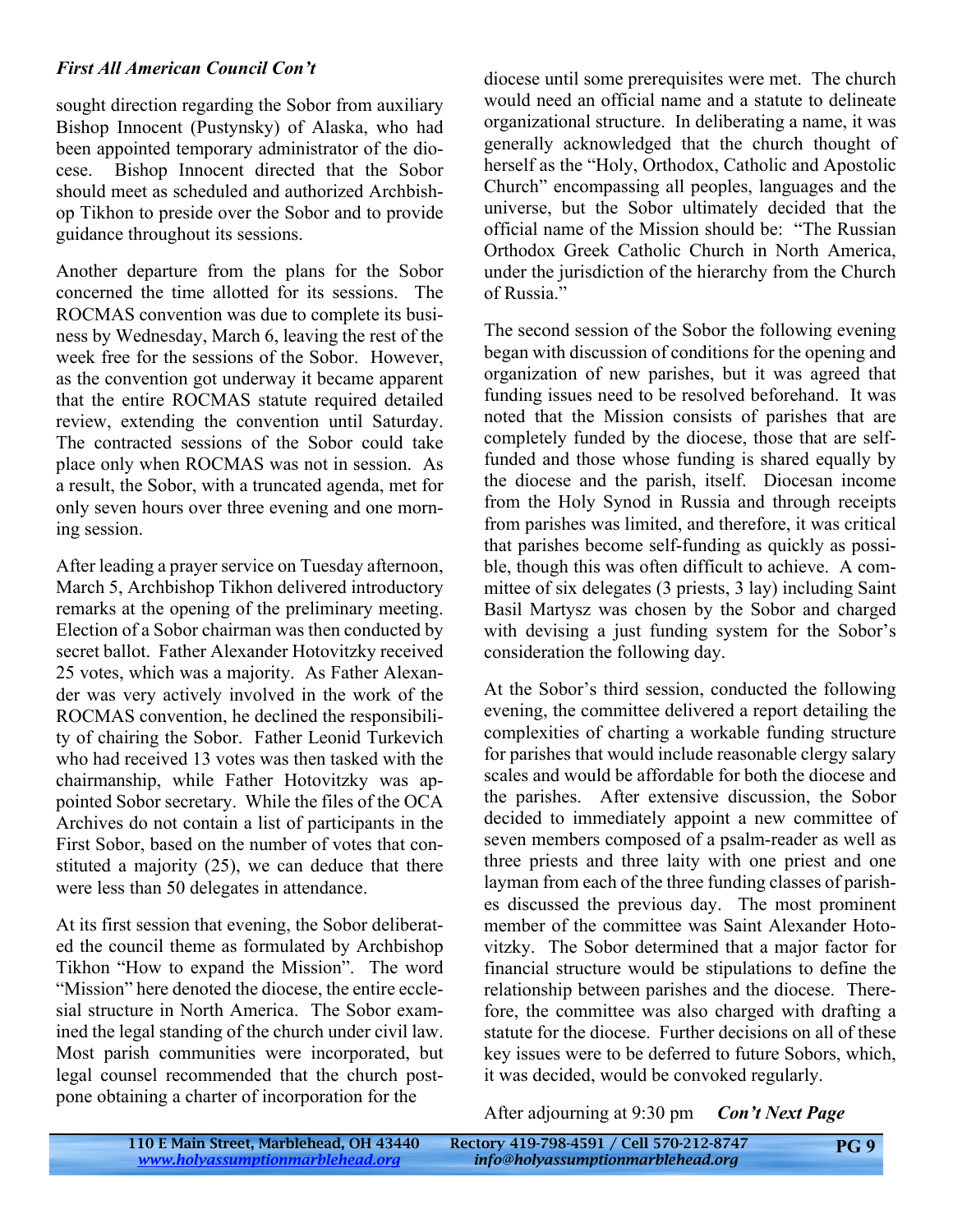#### *First All American Council Con't*

sought direction regarding the Sobor from auxiliary Bishop Innocent (Pustynsky) of Alaska, who had been appointed temporary administrator of the diocese. Bishop Innocent directed that the Sobor should meet as scheduled and authorized Archbishop Tikhon to preside over the Sobor and to provide guidance throughout its sessions.

Another departure from the plans for the Sobor concerned the time allotted for its sessions. The ROCMAS convention was due to complete its business by Wednesday, March 6, leaving the rest of the week free for the sessions of the Sobor. However, as the convention got underway it became apparent that the entire ROCMAS statute required detailed review, extending the convention until Saturday. The contracted sessions of the Sobor could take place only when ROCMAS was not in session. As a result, the Sobor, with a truncated agenda, met for only seven hours over three evening and one morning session.

After leading a prayer service on Tuesday afternoon, March 5, Archbishop Tikhon delivered introductory remarks at the opening of the preliminary meeting. Election of a Sobor chairman was then conducted by secret ballot. Father Alexander Hotovitzky received 25 votes, which was a majority. As Father Alexander was very actively involved in the work of the ROCMAS convention, he declined the responsibility of chairing the Sobor. Father Leonid Turkevich who had received 13 votes was then tasked with the chairmanship, while Father Hotovitzky was appointed Sobor secretary. While the files of the OCA Archives do not contain a list of participants in the First Sobor, based on the number of votes that constituted a majority (25), we can deduce that there were less than 50 delegates in attendance.

At its first session that evening, the Sobor deliberated the council theme as formulated by Archbishop Tikhon "How to expand the Mission". The word "Mission" here denoted the diocese, the entire ecclesial structure in North America. The Sobor examined the legal standing of the church under civil law. Most parish communities were incorporated, but legal counsel recommended that the church postpone obtaining a charter of incorporation for the

diocese until some prerequisites were met. The church would need an official name and a statute to delineate organizational structure. In deliberating a name, it was generally acknowledged that the church thought of herself as the "Holy, Orthodox, Catholic and Apostolic Church" encompassing all peoples, languages and the universe, but the Sobor ultimately decided that the official name of the Mission should be: "The Russian Orthodox Greek Catholic Church in North America, under the jurisdiction of the hierarchy from the Church of Russia."

The second session of the Sobor the following evening began with discussion of conditions for the opening and organization of new parishes, but it was agreed that funding issues need to be resolved beforehand. It was noted that the Mission consists of parishes that are completely funded by the diocese, those that are selffunded and those whose funding is shared equally by the diocese and the parish, itself. Diocesan income from the Holy Synod in Russia and through receipts from parishes was limited, and therefore, it was critical that parishes become self-funding as quickly as possible, though this was often difficult to achieve. A committee of six delegates (3 priests, 3 lay) including Saint Basil Martysz was chosen by the Sobor and charged with devising a just funding system for the Sobor's consideration the following day.

At the Sobor's third session, conducted the following evening, the committee delivered a report detailing the complexities of charting a workable funding structure for parishes that would include reasonable clergy salary scales and would be affordable for both the diocese and the parishes. After extensive discussion, the Sobor decided to immediately appoint a new committee of seven members composed of a psalm-reader as well as three priests and three laity with one priest and one layman from each of the three funding classes of parishes discussed the previous day. The most prominent member of the committee was Saint Alexander Hotovitzky. The Sobor determined that a major factor for financial structure would be stipulations to define the relationship between parishes and the diocese. Therefore, the committee was also charged with drafting a statute for the diocese. Further decisions on all of these key issues were to be deferred to future Sobors, which, it was decided, would be convoked regularly.

After adjourning at 9:30 pm *Con't Next Page*

| 110 E Main Street, Marblehead, OH 43440 | Rectory 419-798-4591 / Cell 570-212-8747         | PG <sub>9</sub> |
|-----------------------------------------|--------------------------------------------------|-----------------|
| www.holyassumptionmarblehead.org        | $\blacksquare$ info@holyassumptionmarblehead.org |                 |